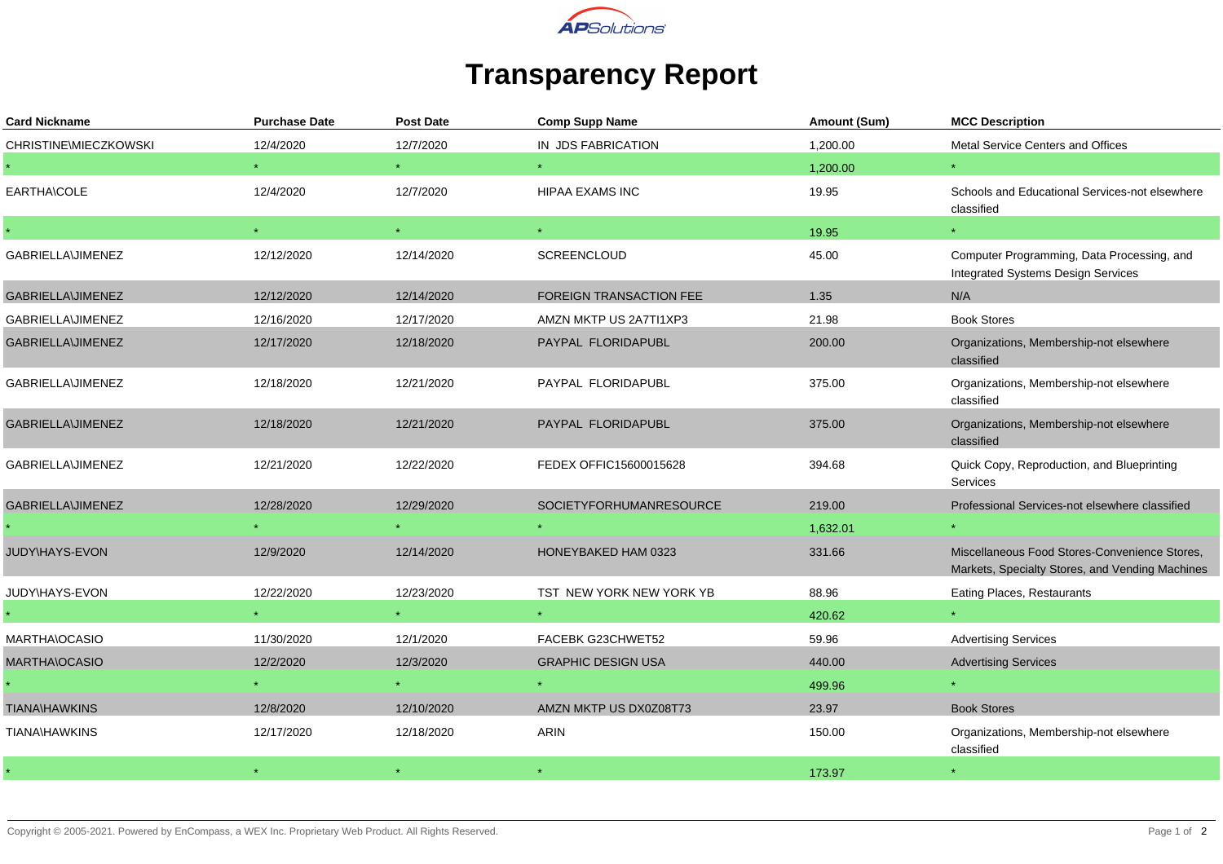

## **Transparency Report**

| <b>Card Nickname</b>     | <b>Purchase Date</b> | <b>Post Date</b> | <b>Comp Supp Name</b>          | Amount (Sum) | <b>MCC Description</b>                                                                           |
|--------------------------|----------------------|------------------|--------------------------------|--------------|--------------------------------------------------------------------------------------------------|
| CHRISTINE\MIECZKOWSKI    | 12/4/2020            | 12/7/2020        | IN JDS FABRICATION             | 1,200.00     | Metal Service Centers and Offices                                                                |
|                          |                      |                  |                                | 1,200.00     |                                                                                                  |
| EARTHA\COLE              | 12/4/2020            | 12/7/2020        | HIPAA EXAMS INC                | 19.95        | Schools and Educational Services-not elsewhere<br>classified                                     |
|                          | $\star$              | $\star$          | $\star$ .                      | 19.95        | $\star$ .                                                                                        |
| GABRIELLA\JIMENEZ        | 12/12/2020           | 12/14/2020       | SCREENCLOUD                    | 45.00        | Computer Programming, Data Processing, and<br>Integrated Systems Design Services                 |
| GABRIELLA\JIMENEZ        | 12/12/2020           | 12/14/2020       | <b>FOREIGN TRANSACTION FEE</b> | 1.35         | N/A                                                                                              |
| <b>GABRIELLA\JIMENEZ</b> | 12/16/2020           | 12/17/2020       | AMZN MKTP US 2A7TI1XP3         | 21.98        | <b>Book Stores</b>                                                                               |
| GABRIELLA\JIMENEZ        | 12/17/2020           | 12/18/2020       | PAYPAL FLORIDAPUBL             | 200.00       | Organizations, Membership-not elsewhere<br>classified                                            |
| <b>GABRIELLA\JIMENEZ</b> | 12/18/2020           | 12/21/2020       | PAYPAL FLORIDAPUBL             | 375.00       | Organizations, Membership-not elsewhere<br>classified                                            |
| GABRIELLA\JIMENEZ        | 12/18/2020           | 12/21/2020       | PAYPAL FLORIDAPUBL             | 375.00       | Organizations, Membership-not elsewhere<br>classified                                            |
| GABRIELLA\JIMENEZ        | 12/21/2020           | 12/22/2020       | FEDEX OFFIC15600015628         | 394.68       | Quick Copy, Reproduction, and Blueprinting<br>Services                                           |
| GABRIELLA\JIMENEZ        | 12/28/2020           | 12/29/2020       | <b>SOCIETYFORHUMANRESOURCE</b> | 219.00       | Professional Services-not elsewhere classified                                                   |
|                          |                      |                  |                                | 1,632.01     |                                                                                                  |
| JUDY\HAYS-EVON           | 12/9/2020            | 12/14/2020       | HONEYBAKED HAM 0323            | 331.66       | Miscellaneous Food Stores-Convenience Stores,<br>Markets, Specialty Stores, and Vending Machines |
| JUDY\HAYS-EVON           | 12/22/2020           | 12/23/2020       | TST NEW YORK NEW YORK YB       | 88.96        | Eating Places, Restaurants                                                                       |
|                          |                      |                  |                                | 420.62       |                                                                                                  |
| MARTHA\OCASIO            | 11/30/2020           | 12/1/2020        | FACEBK G23CHWET52              | 59.96        | <b>Advertising Services</b>                                                                      |
| MARTHA\OCASIO            | 12/2/2020            | 12/3/2020        | <b>GRAPHIC DESIGN USA</b>      | 440.00       | <b>Advertising Services</b>                                                                      |
|                          |                      |                  |                                | 499.96       |                                                                                                  |
| <b>TIANA\HAWKINS</b>     | 12/8/2020            | 12/10/2020       | AMZN MKTP US DX0Z08T73         | 23.97        | <b>Book Stores</b>                                                                               |
| <b>TIANA\HAWKINS</b>     | 12/17/2020           | 12/18/2020       | ARIN                           | 150.00       | Organizations, Membership-not elsewhere<br>classified                                            |
|                          |                      |                  |                                | 173.97       |                                                                                                  |
|                          |                      |                  |                                |              |                                                                                                  |